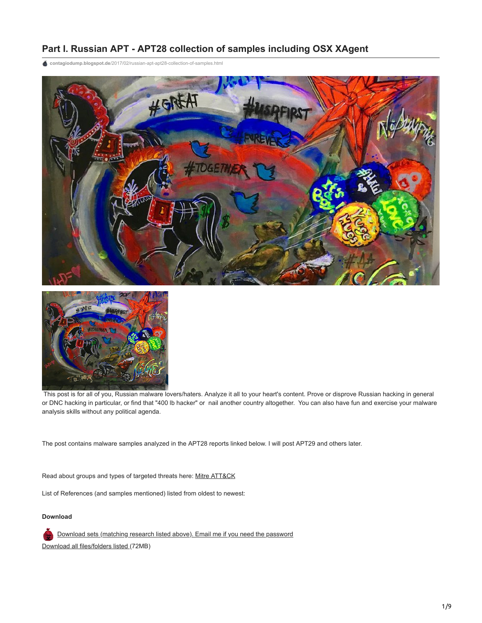## **Part I. Russian APT - APT28 collection of samples including OSX XAgent**

**contagiodump.blogspot.de**[/2017/02/russian-apt-apt28-collection-of-samples.html](https://contagiodump.blogspot.de/2017/02/russian-apt-apt28-collection-of-samples.html)





This post is for all of you, Russian malware lovers/haters. Analyze it all to your heart's content. Prove or disprove Russian hacking in general or DNC hacking in particular, or find that "400 lb hacker" or nail another country altogether. You can also have fun and exercise your malware analysis skills without any political agenda.

The post contains malware samples analyzed in the APT28 reports linked below. I will post APT29 and others later.

Read about groups and types of targeted threats here: [Mitre ATT&CK](https://attack.mitre.org/wiki/Groups#scite-a0b31520c0bb02f1e5e011f948303052)

List of References (and samples mentioned) listed from oldest to newest:

## **Download**

[Download sets \(matching research listed above\). Email me if you need the password](https://www.dropbox.com/sh/fwmhcw37o0u7f6p/AADADt2XkojibPzLBBxaQbbqa?dl=0) [Download all files/folders listed \(](https://www.dropbox.com/s/g4fg52kujv7fmzf/APT28-samp.zip?dl=0)72MB)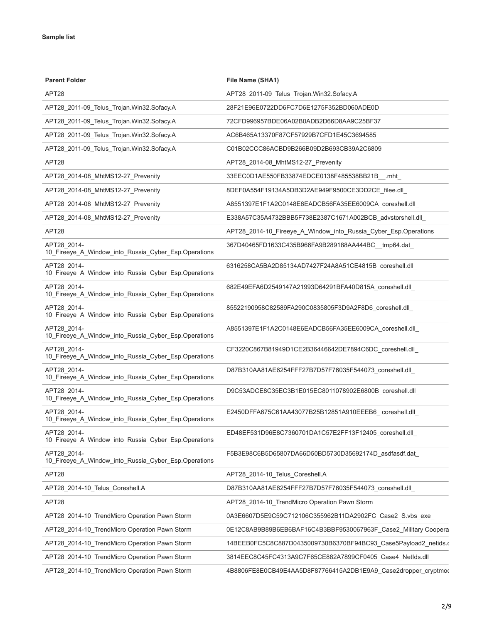| <b>Parent Folder</b>                                                | File Name (SHA1)                                                |
|---------------------------------------------------------------------|-----------------------------------------------------------------|
| APT28                                                               | APT28_2011-09_Telus_Trojan.Win32.Sofacy.A                       |
| APT28_2011-09_Telus_Trojan.Win32.Sofacy.A                           | 28F21E96E0722DD6FC7D6E1275F352BD060ADE0D                        |
| APT28_2011-09_Telus_Trojan.Win32.Sofacy.A                           | 72CFD996957BDE06A02B0ADB2D66D8AA9C25BF37                        |
| APT28_2011-09_Telus_Trojan.Win32.Sofacy.A                           | AC6B465A13370F87CF57929B7CFD1E45C3694585                        |
| APT28_2011-09_Telus_Trojan.Win32.Sofacy.A                           | C01B02CCC86ACBD9B266B09D2B693CB39A2C6809                        |
| APT28                                                               | APT28_2014-08_MhtMS12-27_Prevenity                              |
| APT28_2014-08_MhtMS12-27_Prevenity                                  | 33EEC0D1AE550FB33874EDCE0138F485538BB21B__.mht_                 |
| APT28_2014-08_MhtMS12-27_Prevenity                                  | 8DEF0A554F19134A5DB3D2AE949F9500CE3DD2CE_filee.dll_             |
| APT28_2014-08_MhtMS12-27_Prevenity                                  | A8551397E1F1A2C0148E6EADCB56FA35EE6009CA_coreshell.dll_         |
| APT28_2014-08_MhtMS12-27_Prevenity                                  | E338A57C35A4732BBB5F738E2387C1671A002BCB_advstorshell.dll_      |
| APT28                                                               | APT28_2014-10_Fireeye_A_Window_into_Russia_Cyber_Esp.Operations |
| APT28 2014-<br>10_Fireeye_A_Window_into_Russia_Cyber_Esp.Operations | 367D40465FD1633C435B966FA9B289188AA444BC_tmp64.dat              |
| APT28 2014-<br>10 Fireeye A Window into Russia Cyber Esp.Operations | 6316258CA5BA2D85134AD7427F24A8A51CE4815B_coreshell.dll_         |
| APT28 2014-<br>10_Fireeye_A_Window_into_Russia_Cyber_Esp.Operations | 682E49EFA6D2549147A21993D64291BFA40D815A_coreshell.dll_         |
| APT28_2014-<br>10_Fireeye_A_Window_into_Russia_Cyber_Esp.Operations | 85522190958C82589FA290C0835805F3D9A2F8D6_coreshell.dll_         |
| APT28_2014-<br>10_Fireeye_A_Window_into_Russia_Cyber_Esp.Operations | A8551397E1F1A2C0148E6EADCB56FA35EE6009CA_coreshell.dll_         |
| APT28 2014-<br>10_Fireeye_A_Window_into_Russia_Cyber_Esp.Operations | CF3220C867B81949D1CE2B36446642DE7894C6DC_coreshell.dll_         |
| APT28 2014-<br>10_Fireeye_A_Window_into_Russia_Cyber_Esp.Operations | D87B310AA81AE6254FFF27B7D57F76035F544073_coreshell.dll_         |
| APT28_2014-<br>10_Fireeye_A_Window_into_Russia_Cyber_Esp.Operations | D9C53ADCE8C35EC3B1E015EC8011078902E6800B_coreshell.dll_         |
| APT28_2014-<br>10_Fireeye_A_Window_into_Russia_Cyber_Esp.Operations | E2450DFFA675C61AA43077B25B12851A910EEEB6_coreshell.dll_         |
| APT28_2014-<br>10_Fireeye_A_Window_into_Russia_Cyber_Esp.Operations | ED48EF531D96E8C7360701DA1C57E2FF13F12405_coreshell.dll          |
| APT28 2014-<br>10_Fireeye_A_Window_into_Russia_Cyber_Esp.Operations | F5B3E98C6B5D65807DA66D50BD5730D35692174D_asdfasdf.dat           |
| APT28                                                               | APT28_2014-10_Telus_Coreshell.A                                 |
| APT28_2014-10_Telus_Coreshell.A                                     | D87B310AA81AE6254FFF27B7D57F76035F544073_coreshell.dll_         |
| APT28                                                               | APT28_2014-10_TrendMicro Operation Pawn Storm                   |
| APT28_2014-10_TrendMicro Operation Pawn Storm                       | 0A3E6607D5E9C59C712106C355962B11DA2902FC_Case2_S.vbs_exe_       |
| APT28_2014-10_TrendMicro Operation Pawn Storm                       | 0E12C8AB9B89B6EB6BAF16C4B3BBF9530067963F_Case2_Military Coopera |
| APT28_2014-10_TrendMicro Operation Pawn Storm                       | 14BEEB0FC5C8C887D0435009730B6370BF94BC93_Case5Payload2_netids.o |
| APT28_2014-10_TrendMicro Operation Pawn Storm                       | 3814EEC8C45FC4313A9C7F65CE882A7899CF0405_Case4_NetIds.dll_      |
| APT28_2014-10_TrendMicro Operation Pawn Storm                       | 4B8806FE8E0CB49E4AA5D8F87766415A2DB1E9A9_Case2dropper_cryptmod  |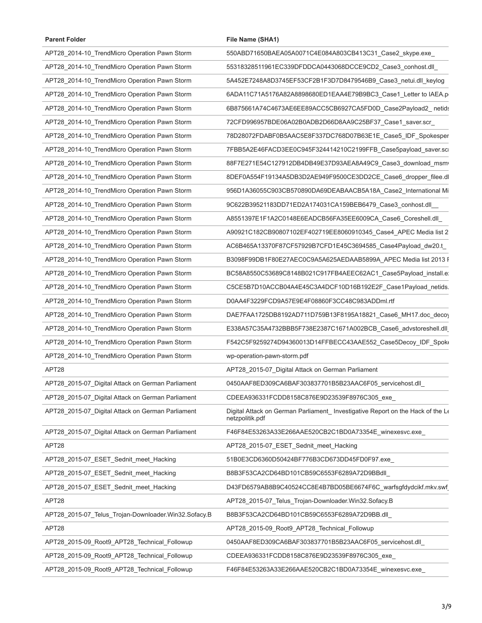| <b>Parent Folder</b>                                 | File Name (SHA1)                                                                                   |
|------------------------------------------------------|----------------------------------------------------------------------------------------------------|
| APT28_2014-10_TrendMicro Operation Pawn Storm        | 550ABD71650BAEA05A0071C4E084A803CB413C31_Case2_skype.exe_                                          |
| APT28_2014-10_TrendMicro Operation Pawn Storm        | 55318328511961EC339DFDDCA0443068DCCE9CD2_Case3_conhost.dll_                                        |
| APT28_2014-10_TrendMicro Operation Pawn Storm        | 5A452E7248A8D3745EF53CF2B1F3D7D8479546B9 Case3 netui.dll keylog                                    |
| APT28_2014-10_TrendMicro Operation Pawn Storm        | 6ADA11C71A5176A82A8898680ED1EAA4E79B9BC3_Case1_Letter to IAEA.p                                    |
| APT28_2014-10_TrendMicro Operation Pawn Storm        | 6B875661A74C4673AE6EE89ACC5CB6927CA5FD0D_Case2Payload2_netids                                      |
| APT28_2014-10_TrendMicro Operation Pawn Storm        | 72CFD996957BDE06A02B0ADB2D66D8AA9C25BF37_Case1_saver.scr_                                          |
| APT28_2014-10_TrendMicro Operation Pawn Storm        | 78D28072FDABF0B5AAC5E8F337DC768D07B63E1E_Case5_IDF_Spokesper                                       |
| APT28_2014-10_TrendMicro Operation Pawn Storm        | 7FBB5A2E46FACD3EE0C945F324414210C2199FFB_Case5payload_saver.sci                                    |
| APT28_2014-10_TrendMicro Operation Pawn Storm        | 88F7E271E54C127912DB4DB49E37D93AEA8A49C9_Case3_download_msm                                        |
| APT28_2014-10_TrendMicro Operation Pawn Storm        | 8DEF0A554F19134A5DB3D2AE949F9500CE3DD2CE_Case6_dropper_filee.dl                                    |
| APT28_2014-10_TrendMicro Operation Pawn Storm        | 956D1A36055C903CB570890DA69DEABAACB5A18A_Case2_International Mi                                    |
| APT28_2014-10_TrendMicro Operation Pawn Storm        | 9C622B39521183DD71ED2A174031CA159BEB6479_Case3_conhost.dll                                         |
| APT28_2014-10_TrendMicro Operation Pawn Storm        | A8551397E1F1A2C0148E6EADCB56FA35EE6009CA_Case6_Coreshell.dll                                       |
| APT28_2014-10_TrendMicro Operation Pawn Storm        | A90921C182CB90807102EF402719EE8060910345_Case4_APEC Media list 2                                   |
| APT28_2014-10_TrendMicro Operation Pawn Storm        | AC6B465A13370F87CF57929B7CFD1E45C3694585_Case4Payload_dw20.t_                                      |
| APT28_2014-10_TrendMicro Operation Pawn Storm        | B3098F99DB1F80E27AEC0C9A5A625AEDAAB5899A_APEC Media list 2013 F                                    |
| APT28_2014-10_TrendMicro Operation Pawn Storm        | BC58A8550C53689C8148B021C917FB4AEEC62AC1_Case5Payload_install.e.                                   |
| APT28_2014-10_TrendMicro Operation Pawn Storm        | C5CE5B7D10ACCB04A4E45C3A4DCF10D16B192E2F_Case1Payload_netids.                                      |
| APT28_2014-10_TrendMicro Operation Pawn Storm        | D0AA4F3229FCD9A57E9E4F08860F3CC48C983ADDml.rtf                                                     |
| APT28_2014-10_TrendMicro Operation Pawn Storm        | DAE7FAA1725DB8192AD711D759B13F8195A18821_Case6_MH17.doc_decoy                                      |
| APT28_2014-10_TrendMicro Operation Pawn Storm        | E338A57C35A4732BBB5F738E2387C1671A002BCB_Case6_advstoreshell.dll                                   |
| APT28_2014-10_TrendMicro Operation Pawn Storm        | F542C5F9259274D94360013D14FFBECC43AAE552_Case5Decoy_IDF_Spok                                       |
| APT28_2014-10_TrendMicro Operation Pawn Storm        | wp-operation-pawn-storm.pdf                                                                        |
| APT28                                                | APT28_2015-07_Digital Attack on German Parliament                                                  |
| APT28 2015-07 Digital Attack on German Parliament    | 0450AAF8ED309CA6BAF303837701B5B23AAC6F05_servicehost.dll_                                          |
| APT28 2015-07 Digital Attack on German Parliament    | CDEEA936331FCDD8158C876E9D23539F8976C305_exe_                                                      |
| APT28_2015-07_Digital Attack on German Parliament    | Digital Attack on German Parliament_ Investigative Report on the Hack of the Le<br>netzpolitik.pdf |
| APT28_2015-07_Digital Attack on German Parliament    | F46F84E53263A33E266AAE520CB2C1BD0A73354E_winexesvc.exe_                                            |
| APT28                                                | APT28_2015-07_ESET_Sednit_meet_Hacking                                                             |
| APT28_2015-07_ESET_Sednit_meet_Hacking               | 51B0E3CD6360D50424BF776B3CD673DD45FD0F97.exe                                                       |
| APT28_2015-07_ESET_Sednit_meet_Hacking               | B8B3F53CA2CD64BD101CB59C6553F6289A72D9BBdll                                                        |
| APT28_2015-07_ESET_Sednit_meet_Hacking               | D43FD6579AB8B9C40524CC8E4B7BD05BE6674F6C_warfsgfdydcikf.mkv.swf                                    |
| APT28                                                | APT28_2015-07_Telus_Trojan-Downloader.Win32.Sofacy.B                                               |
| APT28_2015-07_Telus_Trojan-Downloader.Win32.Sofacy.B | B8B3F53CA2CD64BD101CB59C6553F6289A72D9BB.dll                                                       |
| APT28                                                | APT28_2015-09_Root9_APT28_Technical_Followup                                                       |
| APT28_2015-09_Root9_APT28_Technical_Followup         | 0450AAF8ED309CA6BAF303837701B5B23AAC6F05_servicehost.dll_                                          |
| APT28_2015-09_Root9_APT28_Technical_Followup         | CDEEA936331FCDD8158C876E9D23539F8976C305_exe_                                                      |
| APT28_2015-09_Root9_APT28_Technical_Followup         | F46F84E53263A33E266AAE520CB2C1BD0A73354E_winexesvc.exe_                                            |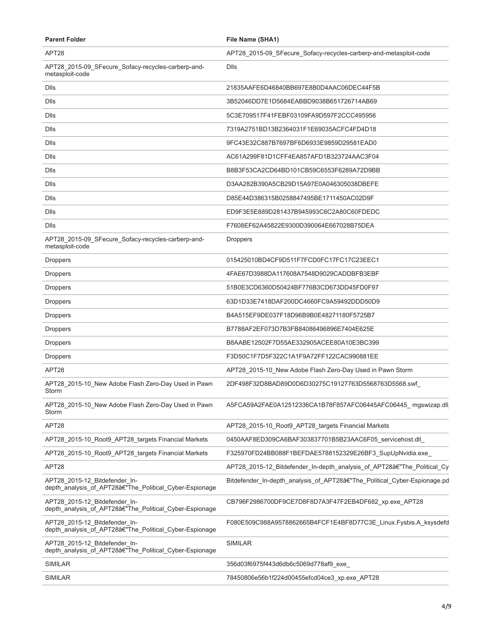| <b>Parent Folder</b>                                                                     | File Name (SHA1)                                                          |
|------------------------------------------------------------------------------------------|---------------------------------------------------------------------------|
| APT28                                                                                    | APT28_2015-09_SFecure_Sofacy-recycles-carberp-and-metasploit-code         |
| APT28_2015-09_SFecure_Sofacy-recycles-carberp-and-<br>metasploit-code                    | Dlls                                                                      |
| <b>Dlls</b>                                                                              | 21835AAFE6D46840BB697E8B0D4AAC06DEC44F5B                                  |
| <b>Dlls</b>                                                                              | 3B52046DD7E1D5684EABBD9038B651726714AB69                                  |
| <b>D</b> lls                                                                             | 5C3E709517F41FEBF03109FA9D597F2CCC495956                                  |
| <b>Dlls</b>                                                                              | 7319A2751BD13B2364031F1E69035ACFC4FD4D18                                  |
| <b>Dlls</b>                                                                              | 9FC43E32C887B7697BF6D6933E9859D29581EAD0                                  |
| <b>Dlls</b>                                                                              | AC61A299F81D1CFF4EA857AFD1B323724AAC3F04                                  |
| <b>D</b> lls                                                                             | B8B3F53CA2CD64BD101CB59C6553F6289A72D9BB                                  |
| <b>D</b> lls                                                                             | D3AA282B390A5CB29D15A97E0A046305038DBEFE                                  |
| <b>D</b> lls                                                                             | D85E44D386315B0258847495BE1711450AC02D9F                                  |
| <b>D</b> lls                                                                             | ED9F3E5E889D281437B945993C6C2A80C60FDEDC                                  |
| <b>Dlls</b>                                                                              | F7608EF62A45822E9300D390064E667028B75DEA                                  |
| APT28_2015-09_SFecure_Sofacy-recycles-carberp-and-<br>metasploit-code                    | <b>Droppers</b>                                                           |
| <b>Droppers</b>                                                                          | 015425010BD4CF9D511F7FCD0FC17FC17C23EEC1                                  |
| <b>Droppers</b>                                                                          | 4FAE67D3988DA117608A7548D9029CADDBFB3EBF                                  |
| <b>Droppers</b>                                                                          | 51B0E3CD6360D50424BF776B3CD673DD45FD0F97                                  |
| <b>Droppers</b>                                                                          | 63D1D33E7418DAF200DC4660FC9A59492DDD50D9                                  |
| <b>Droppers</b>                                                                          | B4A515EF9DE037F18D96B9B0E48271180F5725B7                                  |
| <b>Droppers</b>                                                                          | B7788AF2EF073D7B3FB84086496896E7404E625E                                  |
| <b>Droppers</b>                                                                          | B8AABE12502F7D55AE332905ACEE80A10E3BC399                                  |
| <b>Droppers</b>                                                                          | F3D50C1F7D5F322C1A1F9A72FF122CAC990881EE                                  |
| APT28                                                                                    | APT28_2015-10_New Adobe Flash Zero-Day Used in Pawn Storm                 |
| APT28_2015-10_New Adobe Flash Zero-Day Used in Pawn<br>Storm                             | 2DF498F32D8BAD89D0D6D30275C19127763D5568763D5568.swf                      |
| APT28_2015-10_New Adobe Flash Zero-Day Used in Pawn<br>Storm                             | A5FCA59A2FAE0A12512336CA1B78F857AFC06445AFC06445_mgswizap.dll             |
| APT28                                                                                    | APT28_2015-10_Root9_APT28_targets Financial Markets                       |
| APT28_2015-10_Root9_APT28_targets Financial Markets                                      | 0450AAF8ED309CA6BAF303837701B5B23AAC6F05 servicehost.dll                  |
| APT28_2015-10_Root9_APT28_targets Financial Markets                                      | F325970FD24BB088F1BEFDAE5788152329E26BF3_SupUpNvidia.exe_                 |
| APT28                                                                                    | APT28 2015-12 Bitdefender In-depth analysis of APT28â€"The Political Cy   |
| APT28_2015-12_Bitdefender_In-<br>depth_analysis_of_APT28â€"The_Political_Cyber-Espionage | Bitdefender_In-depth_analysis_of_APT28â€"The_Political_Cyber-Espionage.pd |
| APT28 2015-12 Bitdefender In-<br>depth_analysis_of_APT28â€"The_Political_Cyber-Espionage | CB796F2986700DF9CE7D8F8D7A3F47F2EB4DF682_xp.exe_APT28                     |
| APT28 2015-12 Bitdefender In-<br>depth_analysis_of_APT28â€"The_Political_Cyber-Espionage | F080E509C988A9578862665B4FCF1E4BF8D77C3E_Linux.Fysbis.A_ksysdefd          |
| APT28 2015-12 Bitdefender In-<br>depth_analysis_of_APT28â€"The_Political_Cyber-Espionage | <b>SIMILAR</b>                                                            |
| <b>SIMILAR</b>                                                                           | 356d03f6975f443d6db6c5069d778af9_exe                                      |
| <b>SIMILAR</b>                                                                           | 78450806e56b1f224d00455efcd04ce3_xp.exe_APT28                             |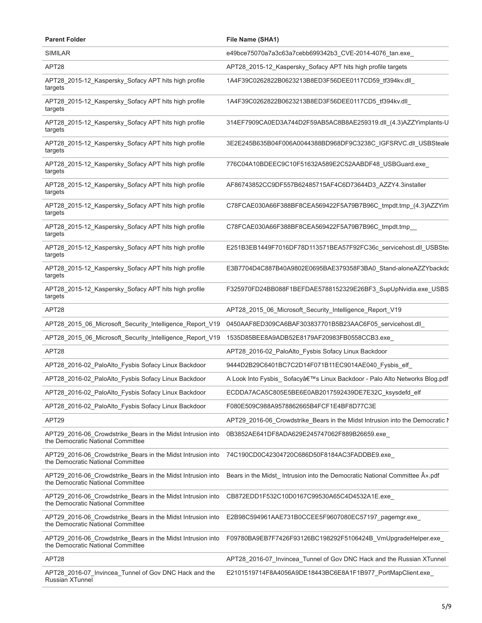| <b>Parent Folder</b>                                                                             | File Name (SHA1)                                                             |
|--------------------------------------------------------------------------------------------------|------------------------------------------------------------------------------|
| <b>SIMILAR</b>                                                                                   | e49bce75070a7a3c63a7cebb699342b3_CVE-2014-4076_tan.exe_                      |
| APT28                                                                                            | APT28_2015-12_Kaspersky_Sofacy APT hits high profile targets                 |
| APT28_2015-12_Kaspersky_Sofacy APT hits high profile<br>targets                                  | 1A4F39C0262822B0623213B8ED3F56DEE0117CD59_tf394kv.dll_                       |
| APT28_2015-12_Kaspersky_Sofacy APT hits high profile<br>targets                                  | 1A4F39C0262822B0623213B8ED3F56DEE0117CD5_tf394kv.dll_                        |
| APT28_2015-12_Kaspersky_Sofacy APT hits high profile<br>targets                                  | 314EF7909CA0ED3A744D2F59AB5AC8B8AE259319.dll (4.3)AZZYimplants-U             |
| APT28_2015-12_Kaspersky_Sofacy APT hits high profile<br>targets                                  | 3E2E245B635B04F006A0044388BD968DF9C3238C_IGFSRVC.dll_USBSteale               |
| APT28_2015-12_Kaspersky_Sofacy APT hits high profile<br>targets                                  | 776C04A10BDEEC9C10F51632A589E2C52AABDF48_USBGuard.exe_                       |
| APT28_2015-12_Kaspersky_Sofacy APT hits high profile<br>targets                                  | AF86743852CC9DF557B62485715AF4C6D73644D3_AZZY4.3installer                    |
| APT28_2015-12_Kaspersky_Sofacy APT hits high profile<br>targets                                  | C78FCAE030A66F388BF8CEA569422F5A79B7B96C_tmpdt.tmp_(4.3)AZZYim               |
| APT28_2015-12_Kaspersky_Sofacy APT hits high profile<br>targets                                  | C78FCAE030A66F388BF8CEA569422F5A79B7B96C_tmpdt.tmp_                          |
| APT28_2015-12_Kaspersky_Sofacy APT hits high profile<br>targets                                  | E251B3EB1449F7016DF78D113571BEA57F92FC36c_servicehost.dll_USBStea            |
| APT28_2015-12_Kaspersky_Sofacy APT hits high profile<br>targets                                  | E3B7704D4C887B40A9802E0695BAE379358F3BA0_Stand-aloneAZZYbackdc               |
| APT28_2015-12_Kaspersky_Sofacy APT hits high profile<br>targets                                  | F325970FD24BB088F1BEFDAE5788152329E26BF3_SupUpNvidia.exe_USBS                |
| APT28                                                                                            | APT28_2015_06_Microsoft_Security_Intelligence_Report_V19                     |
| APT28_2015_06_Microsoft_Security_Intelligence_Report_V19                                         | 0450AAF8ED309CA6BAF303837701B5B23AAC6F05_servicehost.dll_                    |
| APT28_2015_06_Microsoft_Security_Intelligence_Report_V19                                         | 1535D85BEE8A9ADB52E8179AF20983FB0558CCB3.exe_                                |
| APT28                                                                                            | APT28 2016-02 PaloAlto Fysbis Sofacy Linux Backdoor                          |
| APT28_2016-02_PaloAlto_Fysbis Sofacy Linux Backdoor                                              | 9444D2B29C6401BC7C2D14F071B11EC9014AE040_Fysbis_elf_                         |
| APT28_2016-02_PaloAlto_Fysbis Sofacy Linux Backdoor                                              | A Look Into Fysbis_ Sofacy's Linux Backdoor - Palo Alto Networks Blog.pdf    |
| APT28_2016-02_PaloAlto_Fysbis Sofacy Linux Backdoor                                              | ECDDA7ACA5C805E5BE6E0AB2017592439DE7E32C_ksysdefd_elf                        |
| APT28_2016-02_PaloAlto_Fysbis Sofacy Linux Backdoor                                              | F080E509C988A9578862665B4FCF1E4BF8D77C3E                                     |
| APT29                                                                                            | APT29_2016-06_Crowdstrike_Bears in the Midst Intrusion into the Democratic N |
| APT29_2016-06_Crowdstrike_Bears in the Midst Intrusion into<br>the Democratic National Committee | 0B3852AE641DF8ADA629E245747062F889B26659.exe                                 |
| APT29_2016-06_Crowdstrike_Bears in the Midst Intrusion into<br>the Democratic National Committee | 74C190CD0C42304720C686D50F8184AC3FADDBE9.exe                                 |
| APT29_2016-06_Crowdstrike_Bears in the Midst Intrusion into<br>the Democratic National Committee | Bears in the Midst Intrusion into the Democratic National Committee A» pdf   |
| APT29_2016-06_Crowdstrike_Bears in the Midst Intrusion into<br>the Democratic National Committee | CB872EDD1F532C10D0167C99530A65C4D4532A1E.exe_                                |
| APT29_2016-06_Crowdstrike_Bears in the Midst Intrusion into<br>the Democratic National Committee | E2B98C594961AAE731B0CCEE5F9607080EC57197_pagemgr.exe_                        |
| APT29_2016-06_Crowdstrike_Bears in the Midst Intrusion into<br>the Democratic National Committee | F09780BA9EB7F7426F93126BC198292F5106424B_VmUpgradeHelper.exe_                |
| APT28                                                                                            | APT28_2016-07_Invincea_Tunnel of Gov DNC Hack and the Russian XTunnel        |
| APT28_2016-07_Invincea_Tunnel of Gov DNC Hack and the<br>Russian XTunnel                         | E2101519714F8A4056A9DE18443BC6E8A1F1B977_PortMapClient.exe_                  |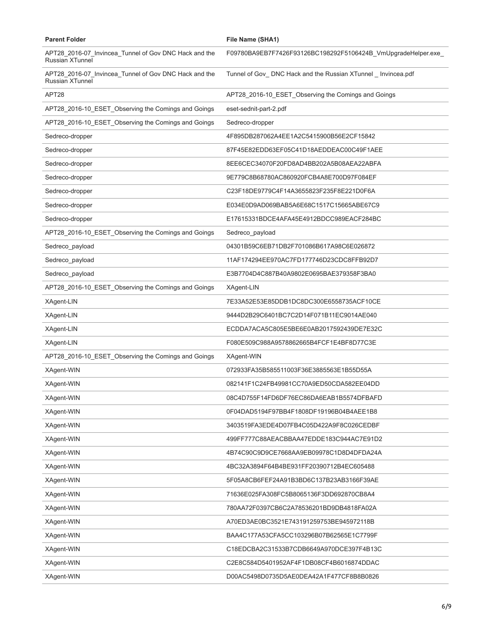| <b>Parent Folder</b>                                                            | File Name (SHA1)                                               |
|---------------------------------------------------------------------------------|----------------------------------------------------------------|
| APT28_2016-07_Invincea_Tunnel of Gov DNC Hack and the<br><b>Russian XTunnel</b> | F09780BA9EB7F7426F93126BC198292F5106424B_VmUpgradeHelper.exe_  |
| APT28_2016-07_Invincea_Tunnel of Gov DNC Hack and the<br><b>Russian XTunnel</b> | Tunnel of Gov_ DNC Hack and the Russian XTunnel _ Invincea.pdf |
| APT28                                                                           | APT28_2016-10_ESET_Observing the Comings and Goings            |
| APT28_2016-10_ESET_Observing the Comings and Goings                             | eset-sednit-part-2.pdf                                         |
| APT28_2016-10_ESET_Observing the Comings and Goings                             | Sedreco-dropper                                                |
| Sedreco-dropper                                                                 | 4F895DB287062A4EE1A2C5415900B56E2CF15842                       |
| Sedreco-dropper                                                                 | 87F45E82EDD63EF05C41D18AEDDEAC00C49F1AEE                       |
| Sedreco-dropper                                                                 | 8EE6CEC34070F20FD8AD4BB202A5B08AEA22ABFA                       |
| Sedreco-dropper                                                                 | 9E779C8B68780AC860920FCB4A8E700D97F084EF                       |
| Sedreco-dropper                                                                 | C23F18DE9779C4F14A3655823F235F8E221D0F6A                       |
| Sedreco-dropper                                                                 | E034E0D9AD069BAB5A6E68C1517C15665ABE67C9                       |
| Sedreco-dropper                                                                 | E17615331BDCE4AFA45E4912BDCC989EACF284BC                       |
| APT28_2016-10_ESET_Observing the Comings and Goings                             | Sedreco payload                                                |
| Sedreco_payload                                                                 | 04301B59C6EB71DB2F701086B617A98C6E026872                       |
| Sedreco_payload                                                                 | 11AF174294EE970AC7FD177746D23CDC8FFB92D7                       |
| Sedreco_payload                                                                 | E3B7704D4C887B40A9802E0695BAE379358F3BA0                       |
| APT28_2016-10_ESET_Observing the Comings and Goings                             | XAgent-LIN                                                     |
| XAgent-LIN                                                                      | 7E33A52E53E85DDB1DC8DC300E6558735ACF10CE                       |
| XAgent-LIN                                                                      | 9444D2B29C6401BC7C2D14F071B11EC9014AE040                       |
| XAgent-LIN                                                                      | ECDDA7ACA5C805E5BE6E0AB2017592439DE7E32C                       |
| XAgent-LIN                                                                      | F080E509C988A9578862665B4FCF1E4BF8D77C3E                       |
| APT28_2016-10_ESET_Observing the Comings and Goings                             | XAgent-WIN                                                     |
| XAgent-WIN                                                                      | 072933FA35B585511003F36E3885563E1B55D55A                       |
| XAgent-WIN                                                                      | 082141F1C24FB49981CC70A9ED50CDA582EE04DD                       |
| XAgent-WIN                                                                      | 08C4D755F14FD6DF76EC86DA6EAB1B5574DFBAFD                       |
| XAgent-WIN                                                                      | 0F04DAD5194F97BB4F1808DF19196B04B4AEE1B8                       |
| XAgent-WIN                                                                      | 3403519FA3EDE4D07FB4C05D422A9F8C026CEDBF                       |
| XAgent-WIN                                                                      | 499FF777C88AEACBBAA47EDDE183C944AC7E91D2                       |
| XAgent-WIN                                                                      | 4B74C90C9D9CE7668AA9EB09978C1D8D4DFDA24A                       |
| XAgent-WIN                                                                      | 4BC32A3894F64B4BE931FF20390712B4EC605488                       |
| XAgent-WIN                                                                      | 5F05A8CB6FEF24A91B3BD6C137B23AB3166F39AE                       |
| XAgent-WIN                                                                      | 71636E025FA308FC5B8065136F3DD692870CB8A4                       |
| XAgent-WIN                                                                      | 780AA72F0397CB6C2A78536201BD9DB4818FA02A                       |
| XAgent-WIN                                                                      | A70ED3AE0BC3521E743191259753BE945972118B                       |
| XAgent-WIN                                                                      | BAA4C177A53CFA5CC103296B07B62565E1C7799F                       |
| XAgent-WIN                                                                      | C18EDCBA2C31533B7CDB6649A970DCE397F4B13C                       |
| XAgent-WIN                                                                      | C2E8C584D5401952AF4F1DB08CF4B6016874DDAC                       |
| XAgent-WIN                                                                      | D00AC5498D0735D5AE0DEA42A1F477CF8B8B0826                       |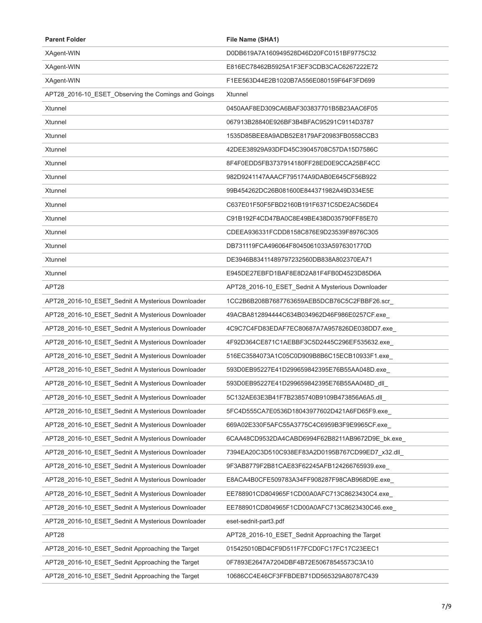| <b>Parent Folder</b>                                | File Name (SHA1)                                  |
|-----------------------------------------------------|---------------------------------------------------|
| XAgent-WIN                                          | D0DB619A7A160949528D46D20FC0151BF9775C32          |
| XAgent-WIN                                          | E816EC78462B5925A1F3EF3CDB3CAC6267222E72          |
| XAgent-WIN                                          | F1EE563D44E2B1020B7A556E080159F64F3FD699          |
| APT28_2016-10_ESET_Observing the Comings and Goings | Xtunnel                                           |
| Xtunnel                                             | 0450AAF8ED309CA6BAF303837701B5B23AAC6F05          |
| Xtunnel                                             | 067913B28840E926BF3B4BFAC95291C9114D3787          |
| Xtunnel                                             | 1535D85BEE8A9ADB52E8179AF20983FB0558CCB3          |
| Xtunnel                                             | 42DEE38929A93DFD45C39045708C57DA15D7586C          |
| Xtunnel                                             | 8F4F0EDD5FB3737914180FF28ED0E9CCA25BF4CC          |
| Xtunnel                                             | 982D9241147AAACF795174A9DAB0E645CF56B922          |
| Xtunnel                                             | 99B454262DC26B081600E844371982A49D334E5E          |
| Xtunnel                                             | C637E01F50F5FBD2160B191F6371C5DE2AC56DE4          |
| Xtunnel                                             | C91B192F4CD47BA0C8E49BE438D035790FF85E70          |
| Xtunnel                                             | CDEEA936331FCDD8158C876E9D23539F8976C305          |
| Xtunnel                                             | DB731119FCA496064F8045061033A5976301770D          |
| Xtunnel                                             | DE3946B83411489797232560DB838A802370EA71          |
| Xtunnel                                             | E945DE27EBFD1BAF8E8D2A81F4FB0D4523D85D6A          |
| APT28                                               | APT28_2016-10_ESET_Sednit A Mysterious Downloader |
| APT28_2016-10_ESET_Sednit A Mysterious Downloader   | 1CC2B6B208B7687763659AEB5DCB76C5C2FBBF26.scr      |
| APT28_2016-10_ESET_Sednit A Mysterious Downloader   | 49ACBA812894444C634B034962D46F986E0257CF.exe      |
| APT28_2016-10_ESET_Sednit A Mysterious Downloader   | 4C9C7C4FD83EDAF7EC80687A7A957826DE038DD7.exe_     |
| APT28_2016-10_ESET_Sednit A Mysterious Downloader   | 4F92D364CE871C1AEBBF3C5D2445C296EF535632.exe      |
| APT28_2016-10_ESET_Sednit A Mysterious Downloader   | 516EC3584073A1C05C0D909B8B6C15ECB10933F1.exe_     |
| APT28_2016-10_ESET_Sednit A Mysterious Downloader   | 593D0EB95227E41D299659842395E76B55AA048D.exe      |
| APT28_2016-10_ESET_Sednit A Mysterious Downloader   | 593D0EB95227E41D299659842395E76B55AA048D dll      |
| APT28_2016-10_ESET_Sednit A Mysterious Downloader   | 5C132AE63E3B41F7B2385740B9109B473856A6A5.dll      |
| APT28_2016-10_ESET_Sednit A Mysterious Downloader   | 5FC4D555CA7E0536D18043977602D421A6FD65F9.exe_     |
| APT28_2016-10_ESET_Sednit A Mysterious Downloader   | 669A02E330F5AFC55A3775C4C6959B3F9E9965CF.exe      |
| APT28_2016-10_ESET_Sednit A Mysterious Downloader   | 6CAA48CD9532DA4CABD6994F62B8211AB9672D9E_bk.exe_  |
| APT28 2016-10 ESET Sednit A Mysterious Downloader   | 7394EA20C3D510C938EF83A2D0195B767CD99ED7_x32.dll_ |
| APT28_2016-10_ESET_Sednit A Mysterious Downloader   | 9F3AB8779F2B81CAE83F62245AFB124266765939.exe      |
| APT28_2016-10_ESET_Sednit A Mysterious Downloader   | E8ACA4B0CFE509783A34FF908287F98CAB968D9E.exe      |
| APT28_2016-10_ESET_Sednit A Mysterious Downloader   | EE788901CD804965F1CD00A0AFC713C8623430C4.exe_     |
| APT28_2016-10_ESET_Sednit A Mysterious Downloader   | EE788901CD804965F1CD00A0AFC713C8623430C46.exe     |
| APT28_2016-10_ESET_Sednit A Mysterious Downloader   | eset-sednit-part3.pdf                             |
| APT28                                               | APT28_2016-10_ESET_Sednit Approaching the Target  |
| APT28_2016-10_ESET_Sednit Approaching the Target    | 015425010BD4CF9D511F7FCD0FC17FC17C23EEC1          |
| APT28_2016-10_ESET_Sednit Approaching the Target    | 0F7893E2647A7204DBF4B72E50678545573C3A10          |
| APT28_2016-10_ESET_Sednit Approaching the Target    | 10686CC4E46CF3FFBDEB71DD565329A80787C439          |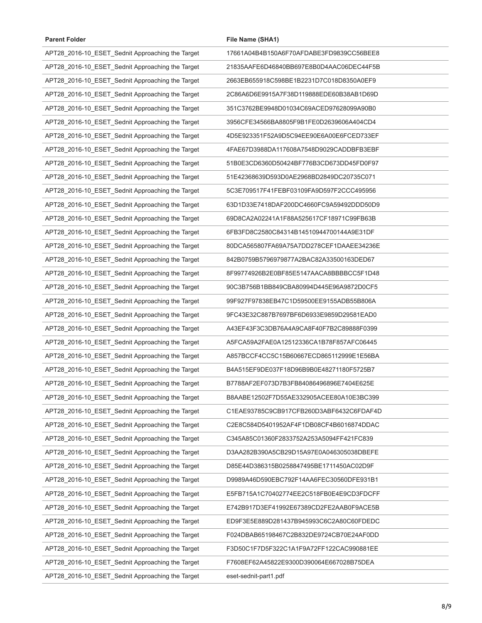| <b>Parent Folder</b>                             | File Name (SHA1)                         |
|--------------------------------------------------|------------------------------------------|
| APT28_2016-10_ESET_Sednit Approaching the Target | 17661A04B4B150A6F70AFDABE3FD9839CC56BEE8 |
| APT28_2016-10_ESET_Sednit Approaching the Target | 21835AAFE6D46840BB697E8B0D4AAC06DEC44F5B |
| APT28_2016-10_ESET_Sednit Approaching the Target | 2663EB655918C598BE1B2231D7C018D8350A0EF9 |
| APT28_2016-10_ESET_Sednit Approaching the Target | 2C86A6D6E9915A7F38D119888EDE60B38AB1D69D |
| APT28_2016-10_ESET_Sednit Approaching the Target | 351C3762BE9948D01034C69ACED97628099A90B0 |
| APT28_2016-10_ESET_Sednit Approaching the Target | 3956CFE34566BA8805F9B1FE0D2639606A404CD4 |
| APT28_2016-10_ESET_Sednit Approaching the Target | 4D5E923351F52A9D5C94EE90E6A00E6FCED733EF |
| APT28_2016-10_ESET_Sednit Approaching the Target | 4FAE67D3988DA117608A7548D9029CADDBFB3EBF |
| APT28_2016-10_ESET_Sednit Approaching the Target | 51B0E3CD6360D50424BF776B3CD673DD45FD0F97 |
| APT28_2016-10_ESET_Sednit Approaching the Target | 51E42368639D593D0AE2968BD2849DC20735C071 |
| APT28_2016-10_ESET_Sednit Approaching the Target | 5C3E709517F41FEBF03109FA9D597F2CCC495956 |
| APT28_2016-10_ESET_Sednit Approaching the Target | 63D1D33E7418DAF200DC4660FC9A59492DDD50D9 |
| APT28_2016-10_ESET_Sednit Approaching the Target | 69D8CA2A02241A1F88A525617CF18971C99FB63B |
| APT28_2016-10_ESET_Sednit Approaching the Target | 6FB3FD8C2580C84314B14510944700144A9E31DF |
| APT28_2016-10_ESET_Sednit Approaching the Target | 80DCA565807FA69A75A7DD278CEF1DAAEE34236E |
| APT28_2016-10_ESET_Sednit Approaching the Target | 842B0759B5796979877A2BAC82A33500163DED67 |
| APT28_2016-10_ESET_Sednit Approaching the Target | 8F99774926B2E0BF85E5147AACA8BBBBCC5F1D48 |
| APT28_2016-10_ESET_Sednit Approaching the Target | 90C3B756B1BB849CBA80994D445E96A9872D0CF5 |
| APT28_2016-10_ESET_Sednit Approaching the Target | 99F927F97838EB47C1D59500EE9155ADB55B806A |
| APT28_2016-10_ESET_Sednit Approaching the Target | 9FC43E32C887B7697BF6D6933E9859D29581EAD0 |
| APT28_2016-10_ESET_Sednit Approaching the Target | A43EF43F3C3DB76A4A9CA8F40F7B2C89888F0399 |
| APT28_2016-10_ESET_Sednit Approaching the Target | A5FCA59A2FAE0A12512336CA1B78F857AFC06445 |
| APT28_2016-10_ESET_Sednit Approaching the Target | A857BCCF4CC5C15B60667ECD865112999E1E56BA |
| APT28_2016-10_ESET_Sednit Approaching the Target | B4A515EF9DE037F18D96B9B0E48271180F5725B7 |
| APT28_2016-10_ESET_Sednit Approaching the Target | B7788AF2EF073D7B3FB84086496896E7404E625E |
| APT28_2016-10_ESET_Sednit Approaching the Target | B8AABE12502F7D55AE332905ACEE80A10E3BC399 |
| APT28_2016-10_ESET_Sednit Approaching the Target | C1EAE93785C9CB917CFB260D3ABF6432C6FDAF4D |
| APT28_2016-10_ESET_Sednit Approaching the Target | C2E8C584D5401952AF4F1DB08CF4B6016874DDAC |
| APT28_2016-10_ESET_Sednit Approaching the Target | C345A85C01360F2833752A253A5094FF421FC839 |
| APT28_2016-10_ESET_Sednit Approaching the Target | D3AA282B390A5CB29D15A97E0A046305038DBEFE |
| APT28_2016-10_ESET_Sednit Approaching the Target | D85E44D386315B0258847495BE1711450AC02D9F |
| APT28_2016-10_ESET_Sednit Approaching the Target | D9989A46D590EBC792F14AA6FEC30560DFE931B1 |
| APT28_2016-10_ESET_Sednit Approaching the Target | E5FB715A1C70402774EE2C518FB0E4E9CD3FDCFF |
| APT28_2016-10_ESET_Sednit Approaching the Target | E742B917D3EF41992E67389CD2FE2AAB0F9ACE5B |
| APT28_2016-10_ESET_Sednit Approaching the Target | ED9F3E5E889D281437B945993C6C2A80C60FDEDC |
| APT28_2016-10_ESET_Sednit Approaching the Target | F024DBAB65198467C2B832DE9724CB70E24AF0DD |
| APT28_2016-10_ESET_Sednit Approaching the Target | F3D50C1F7D5F322C1A1F9A72FF122CAC990881EE |
| APT28_2016-10_ESET_Sednit Approaching the Target | F7608EF62A45822E9300D390064E667028B75DEA |
| APT28_2016-10_ESET_Sednit Approaching the Target | eset-sednit-part1.pdf                    |